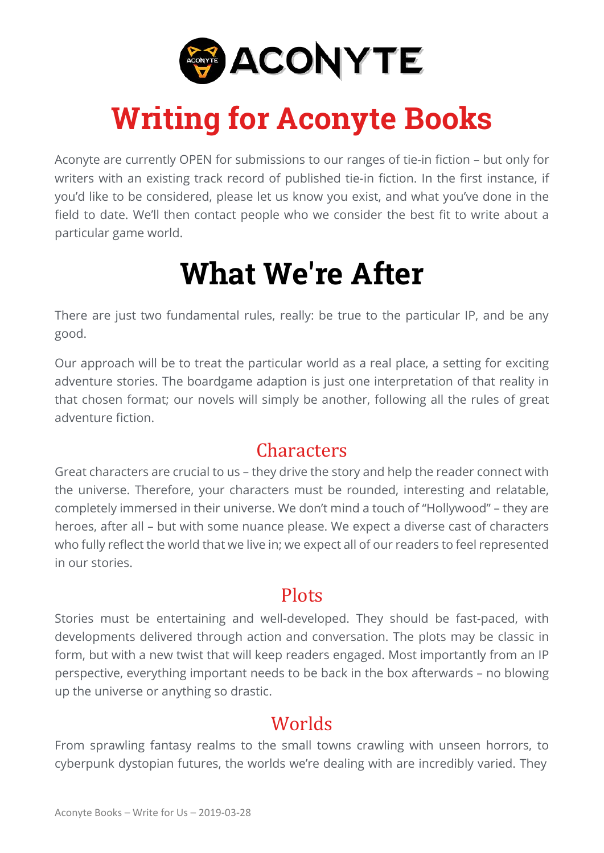

### **Writing for Aconyte Books**

Aconyte are currently OPEN for submissions to our ranges of tie-in fiction – but only for writers with an existing track record of published tie-in fiction. In the first instance, if you'd like to be considered, please let us know you exist, and what you've done in the field to date. We'll then contact people who we consider the best fit to write about a particular game world.

### **What We're After**

There are just two fundamental rules, really: be true to the particular IP, and be any good.

Our approach will be to treat the particular world as a real place, a setting for exciting adventure stories. The boardgame adaption is just one interpretation of that reality in that chosen format; our novels will simply be another, following all the rules of great adventure fiction.

#### **Characters**

Great characters are crucial to us – they drive the story and help the reader connect with the universe. Therefore, your characters must be rounded, interesting and relatable, completely immersed in their universe. We don't mind a touch of "Hollywood" – they are heroes, after all – but with some nuance please. We expect a diverse cast of characters who fully reflect the world that we live in; we expect all of our readers to feel represented in our stories.

#### **Plots**

Stories must be entertaining and well-developed. They should be fast-paced, with developments delivered through action and conversation. The plots may be classic in form, but with a new twist that will keep readers engaged. Most importantly from an IP perspective, everything important needs to be back in the box afterwards – no blowing up the universe or anything so drastic.

#### Worlds

From sprawling fantasy realms to the small towns crawling with unseen horrors, to cyberpunk dystopian futures, the worlds we're dealing with are incredibly varied. They